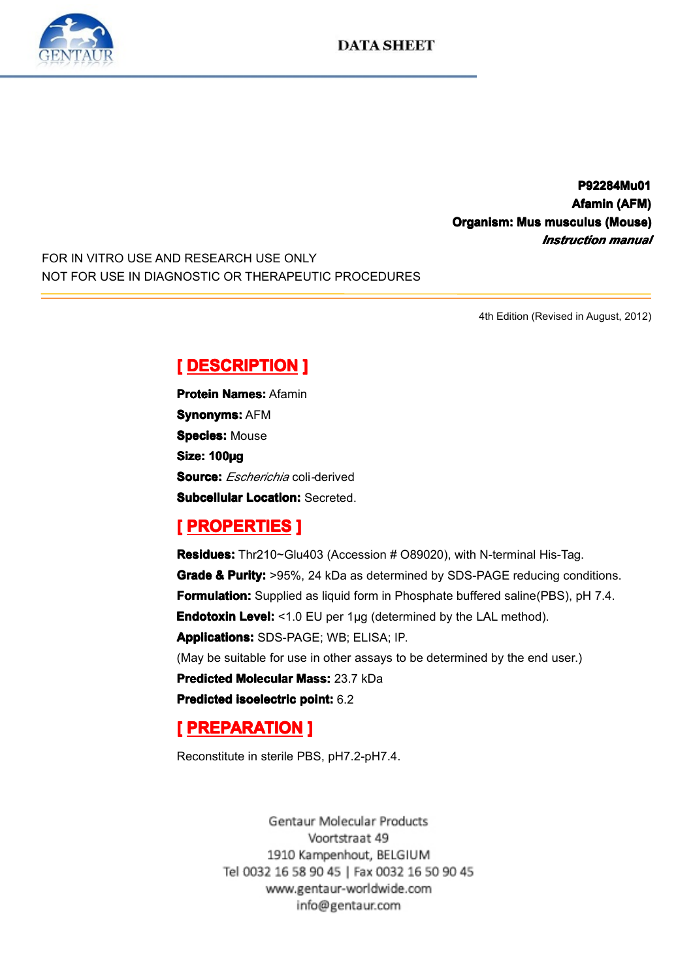**P92284Mu01 P92284Mu01 P92284Mu01 Afamin (AFM)**<br>**Afamin (AFM)**<br>**musculus (Mouse)**<br>*Instruction manual* **Cinditive Community Community Community Community Community Community Community Community Community Community Community Community Community Community Community Community Community Community Community Community Community C** *Instruction Instruction Instruction manual*

FOR IN VITRO USE AND RESEARCH USE ONLY NOT FOR USE IN DIAGNOSTIC OR THERAPEUTIC PROCEDURES

4th Edition (Revised in August, 2012)

**Experience DESCRIPTION**<br> **Protein Names: Afamin<br>
Synonyms: AFM<br>
Species: Mouse<br>
Size: 100µg<br>
Souroo:** *Escherichio* **oo Protein Names: Afamin<br><b>Synonyms: AFM**<br>**Species: Mouse<br>Size: 100µg**<br>Source: *Escherichie* 20 **Synonyms: AFM Species: Mouse** Size: 100µg<br>Size: 100µg<br>Subcellular<br> **[** PROPE **Source:** *Escherichia* coli*-*derived

**Subcellular Location:** Secreted.<br> **[ PROPERTIES ]**<br> **Residues:** Thr210~Glu403 (Accession # O89020), with N-terminal His-Taq. **Experiment Excelence III**<br> **Residues:** Thr210~Glu<br> **Grade & Purity:** >95%<br> **Formulation:** Supplied<br>
Endotoxin Level: <1.0<br>
Anniloations: SDS BA **Residues:** Thr210~Glu403 (Accession # O89020), with N-terminal His-Tag.<br> **Grade & Purity:** >95%, 24 kDa as determined by SDS-PAGE reducing con<br> **Formulation:** Supplied as liquid form in Phosphate buffered saline(PBS), p<br> **Grade & Purity:** >95%, 24 kDa as determined by SDS-PAGE reducing conditions.<br> **Formulation:** Supplied as liquid form in Phosphate buffered saline(PBS), pH 7.4.<br> **Endotoxin Level:** <1.0 EU per 1µg (determined by the LAL me **Formulation:** Supplied as liquid form in Phosphate buffered saline(PBS), pH 7.4.<br> **Endotoxin Level:** <1.0 EU per 1µg (determined by the LAL method).<br> **Applications:** SDS-PAGE; WB; ELISA; IP.<br>
(May be suitable for use in o **Endotoxin Level:** <1.0 EU per 1µg (determined by the LAL method).<br> **Applications:** SDS-PAGE; WB; ELISA; IP.<br>
(May be suitable for use in other assays to be determined by the end<br> **Predicted Molecular Mass:** 23.7 kDa<br> **Pre Applications:**SDS-PAGE; WB; ELISA; IP. (May be suitable for use in other assays to be determined by the end user.)<br> **Predicted Molecular Mass:** 23.7 kDa<br> **Predicted isoelectric point:** 6.2<br>
[**PREPARATION**] **Predicted Molecular Mass:** 23.7 kDa<br>**Predicted isoelectric point:** 6.2<br>**[ PREPARATION ]**<br>Reconstitute in sterile PBS, pH7.2-pH **Predicted isoelectric point:** 6.2<br> **[PREPARATION ]**<br>
Reconstitute in sterile PBS, pH7.

# **EXERGATION**<br>
Reconstitute in sterile PB<br>
Gentau

Reconstitute in sterile PBS, pH7.2-pH7.4.<br>Gentaur Molecular Pro 1910 Kampenhout, BELGIUM Tel 0032 16 58 90 45 | Fax 0032 16 50 90 45 www.gentaur-worldwide.com info@gentaur.com